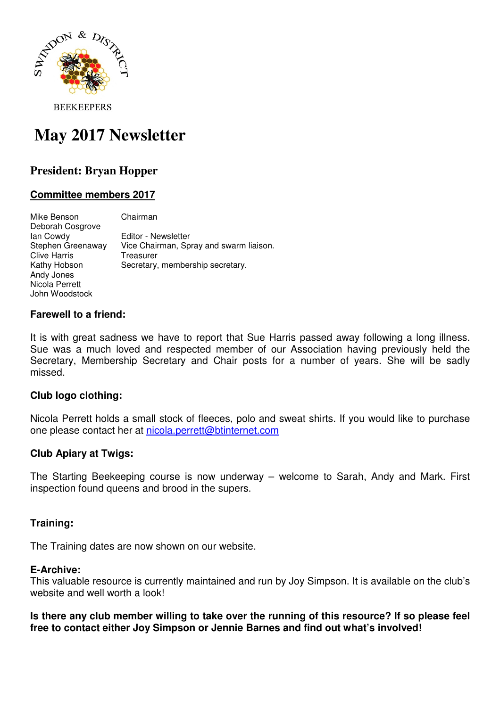

**BEEKEEPERS** 

# **May 2017 Newsletter**

## **President: Bryan Hopper**

#### **Committee members 2017**

Mike Benson Chairman Deborah Cosgrove<br>Ian Cowdy Editor - Newsletter Stephen Greenaway Vice Chairman, Spray and swarm liaison. Clive Harris Treasurer Kathy Hobson Secretary, membership secretary. Andy Jones Nicola Perrett John Woodstock

#### **Farewell to a friend:**

It is with great sadness we have to report that Sue Harris passed away following a long illness. Sue was a much loved and respected member of our Association having previously held the Secretary, Membership Secretary and Chair posts for a number of years. She will be sadly missed.

#### **Club logo clothing:**

Nicola Perrett holds a small stock of fleeces, polo and sweat shirts. If you would like to purchase one please contact her at nicola.perrett@btinternet.com

#### **Club Apiary at Twigs:**

The Starting Beekeeping course is now underway – welcome to Sarah, Andy and Mark. First inspection found queens and brood in the supers.

#### **Training:**

The Training dates are now shown on our website.

### **E-Archive:**

This valuable resource is currently maintained and run by Joy Simpson. It is available on the club's website and well worth a look!

**Is there any club member willing to take over the running of this resource? If so please feel free to contact either Joy Simpson or Jennie Barnes and find out what's involved!**